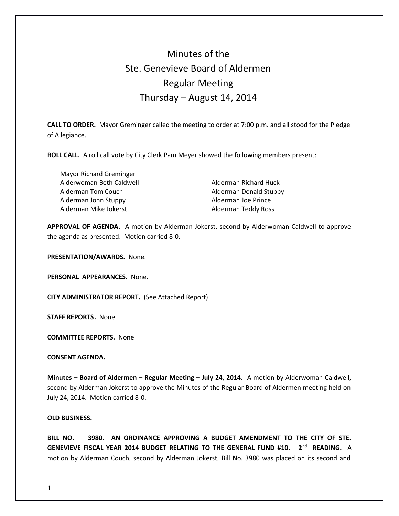# Minutes of the Ste. Genevieve Board of Aldermen Regular Meeting Thursday – August 14, 2014

**CALL TO ORDER.** Mayor Greminger called the meeting to order at 7:00 p.m. and all stood for the Pledge of Allegiance.

**ROLL CALL.** A roll call vote by City Clerk Pam Meyer showed the following members present:

 Mayor Richard Greminger Alderwoman Beth Caldwell Alderman Richard Huck Alderman Tom Couch and Alderman Donald Stuppy Alderman John Stuppy **Alderman Joe Prince** Alderman Mike Jokerst **Alderman Teddy Ross** 

**APPROVAL OF AGENDA.** A motion by Alderman Jokerst, second by Alderwoman Caldwell to approve the agenda as presented. Motion carried 8-0.

**PRESENTATION/AWARDS.** None.

**PERSONAL APPEARANCES.** None.

**CITY ADMINISTRATOR REPORT.** (See Attached Report)

**STAFF REPORTS.** None.

**COMMITTEE REPORTS.** None

**CONSENT AGENDA.** 

**Minutes – Board of Aldermen – Regular Meeting – July 24, 2014.** A motion by Alderwoman Caldwell, second by Alderman Jokerst to approve the Minutes of the Regular Board of Aldermen meeting held on July 24, 2014. Motion carried 8-0.

#### **OLD BUSINESS.**

**BILL NO. 3980. AN ORDINANCE APPROVING A BUDGET AMENDMENT TO THE CITY OF STE. GENEVIEVE FISCAL YEAR 2014 BUDGET RELATING TO THE GENERAL FUND #10. 2nd READING.** A motion by Alderman Couch, second by Alderman Jokerst, Bill No. 3980 was placed on its second and

1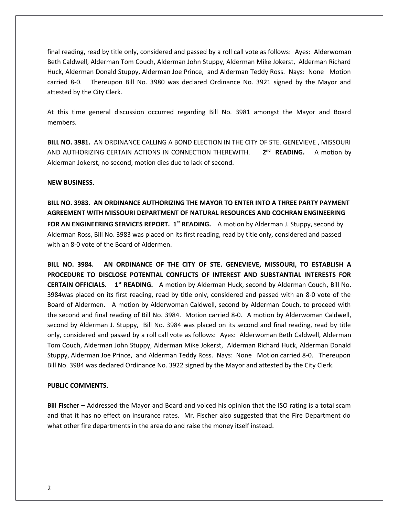final reading, read by title only, considered and passed by a roll call vote as follows: Ayes: Alderwoman Beth Caldwell, Alderman Tom Couch, Alderman John Stuppy, Alderman Mike Jokerst, Alderman Richard Huck, Alderman Donald Stuppy, Alderman Joe Prince, and Alderman Teddy Ross. Nays: None Motion carried 8-0. Thereupon Bill No. 3980 was declared Ordinance No. 3921 signed by the Mayor and attested by the City Clerk.

At this time general discussion occurred regarding Bill No. 3981 amongst the Mayor and Board members.

**BILL NO. 3981.** AN ORDINANCE CALLING A BOND ELECTION IN THE CITY OF STE. GENEVIEVE , MISSOURI AND AUTHORIZING CERTAIN ACTIONS IN CONNECTION THEREWITH. **2** 2<sup>nd</sup> READING. A motion by Alderman Jokerst, no second, motion dies due to lack of second.

## **NEW BUSINESS.**

**BILL NO. 3983. AN ORDINANCE AUTHORIZING THE MAYOR TO ENTER INTO A THREE PARTY PAYMENT AGREEMENT WITH MISSOURI DEPARTMENT OF NATURAL RESOURCES AND COCHRAN ENGINEERING FOR AN ENGINEERING SERVICES REPORT. 1st READING.** A motion by Alderman J. Stuppy, second by Alderman Ross, Bill No. 3983 was placed on its first reading, read by title only, considered and passed with an 8-0 vote of the Board of Aldermen.

**BILL NO. 3984. AN ORDINANCE OF THE CITY OF STE. GENEVIEVE, MISSOURI, TO ESTABLISH A PROCEDURE TO DISCLOSE POTENTIAL CONFLICTS OF INTEREST AND SUBSTANTIAL INTERESTS FOR CERTAIN OFFICIALS. 1st READING.** A motion by Alderman Huck, second by Alderman Couch, Bill No. 3984was placed on its first reading, read by title only, considered and passed with an 8-0 vote of the Board of Aldermen. A motion by Alderwoman Caldwell, second by Alderman Couch, to proceed with the second and final reading of Bill No. 3984. Motion carried 8-0. A motion by Alderwoman Caldwell, second by Alderman J. Stuppy, Bill No. 3984 was placed on its second and final reading, read by title only, considered and passed by a roll call vote as follows: Ayes: Alderwoman Beth Caldwell, Alderman Tom Couch, Alderman John Stuppy, Alderman Mike Jokerst, Alderman Richard Huck, Alderman Donald Stuppy, Alderman Joe Prince, and Alderman Teddy Ross. Nays: None Motion carried 8-0. Thereupon Bill No. 3984 was declared Ordinance No. 3922 signed by the Mayor and attested by the City Clerk.

#### **PUBLIC COMMENTS.**

**Bill Fischer –** Addressed the Mayor and Board and voiced his opinion that the ISO rating is a total scam and that it has no effect on insurance rates. Mr. Fischer also suggested that the Fire Department do what other fire departments in the area do and raise the money itself instead.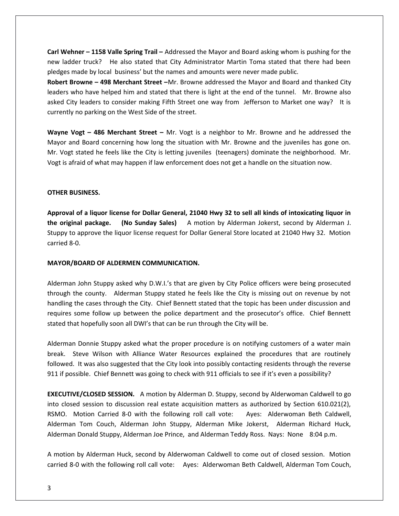**Carl Wehner – 1158 Valle Spring Trail –** Addressed the Mayor and Board asking whom is pushing for the new ladder truck? He also stated that City Administrator Martin Toma stated that there had been pledges made by local business' but the names and amounts were never made public.

**Robert Browne – 498 Merchant Street –**Mr. Browne addressed the Mayor and Board and thanked City leaders who have helped him and stated that there is light at the end of the tunnel. Mr. Browne also asked City leaders to consider making Fifth Street one way from Jefferson to Market one way? It is currently no parking on the West Side of the street.

**Wayne Vogt – 486 Merchant Street –** Mr. Vogt is a neighbor to Mr. Browne and he addressed the Mayor and Board concerning how long the situation with Mr. Browne and the juveniles has gone on. Mr. Vogt stated he feels like the City is letting juveniles (teenagers) dominate the neighborhood. Mr. Vogt is afraid of what may happen if law enforcement does not get a handle on the situation now.

## **OTHER BUSINESS.**

**Approval of a liquor license for Dollar General, 21040 Hwy 32 to sell all kinds of intoxicating liquor in the original package. (No Sunday Sales)** A motion by Alderman Jokerst, second by Alderman J. Stuppy to approve the liquor license request for Dollar General Store located at 21040 Hwy 32. Motion carried 8-0.

### **MAYOR/BOARD OF ALDERMEN COMMUNICATION.**

Alderman John Stuppy asked why D.W.I.'s that are given by City Police officers were being prosecuted through the county. Alderman Stuppy stated he feels like the City is missing out on revenue by not handling the cases through the City. Chief Bennett stated that the topic has been under discussion and requires some follow up between the police department and the prosecutor's office. Chief Bennett stated that hopefully soon all DWI's that can be run through the City will be.

Alderman Donnie Stuppy asked what the proper procedure is on notifying customers of a water main break. Steve Wilson with Alliance Water Resources explained the procedures that are routinely followed. It was also suggested that the City look into possibly contacting residents through the reverse 911 if possible. Chief Bennett was going to check with 911 officials to see if it's even a possibility?

**EXECUTIVE/CLOSED SESSION.** A motion by Alderman D. Stuppy, second by Alderwoman Caldwell to go into closed session to discussion real estate acquisition matters as authorized by Section 610.021(2), RSMO. Motion Carried 8-0 with the following roll call vote: Ayes: Alderwoman Beth Caldwell, Alderman Tom Couch, Alderman John Stuppy, Alderman Mike Jokerst, Alderman Richard Huck, Alderman Donald Stuppy, Alderman Joe Prince, and Alderman Teddy Ross. Nays: None 8:04 p.m.

A motion by Alderman Huck, second by Alderwoman Caldwell to come out of closed session. Motion carried 8-0 with the following roll call vote: Ayes: Alderwoman Beth Caldwell, Alderman Tom Couch,